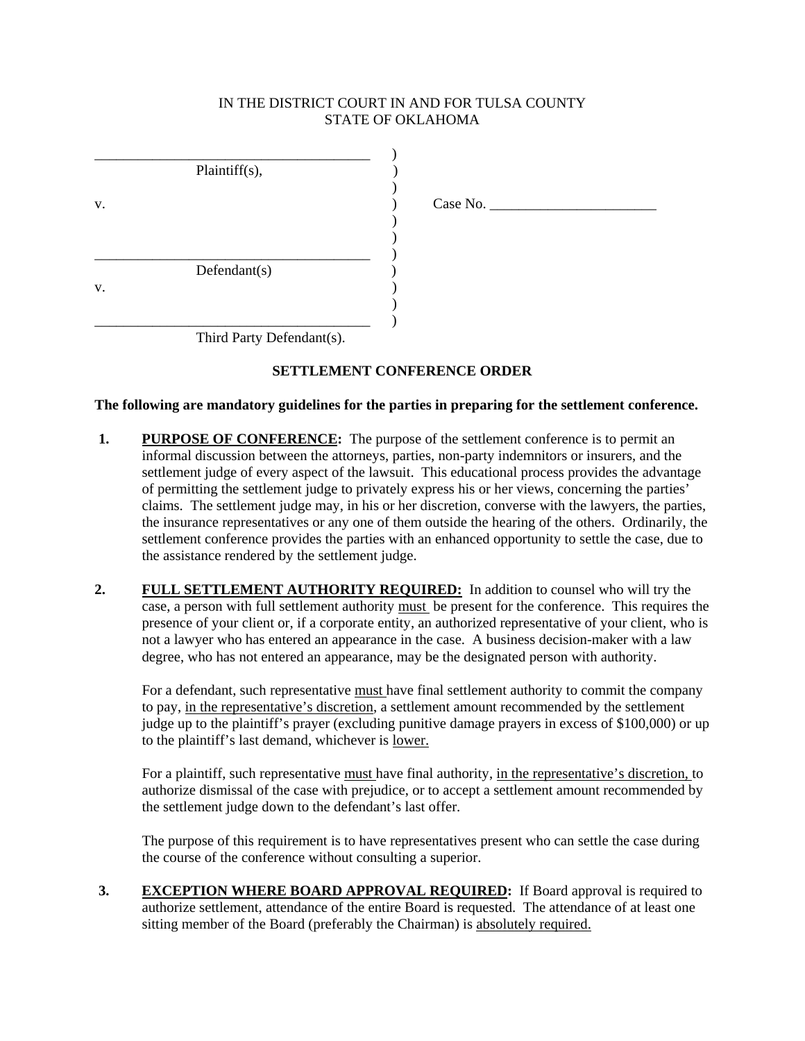## IN THE DISTRICT COURT IN AND FOR TULSA COUNTY STATE OF OKLAHOMA

|    | Plaintiff(s), |             |
|----|---------------|-------------|
| V. |               | Case No. __ |
|    |               |             |
|    |               |             |
|    | Defendant(s)  |             |
| V. |               |             |
|    |               |             |
|    |               |             |

Third Party Defendant(s).

# **SETTLEMENT CONFERENCE ORDER**

## **The following are mandatory guidelines for the parties in preparing for the settlement conference.**

- **1. PURPOSE OF CONFERENCE:** The purpose of the settlement conference is to permit an informal discussion between the attorneys, parties, non-party indemnitors or insurers, and the settlement judge of every aspect of the lawsuit. This educational process provides the advantage of permitting the settlement judge to privately express his or her views, concerning the parties' claims. The settlement judge may, in his or her discretion, converse with the lawyers, the parties, the insurance representatives or any one of them outside the hearing of the others. Ordinarily, the settlement conference provides the parties with an enhanced opportunity to settle the case, due to the assistance rendered by the settlement judge.
- **2. FULL SETTLEMENT AUTHORITY REQUIRED:** In addition to counsel who will try the case, a person with full settlement authority must be present for the conference. This requires the presence of your client or, if a corporate entity, an authorized representative of your client, who is not a lawyer who has entered an appearance in the case. A business decision-maker with a law degree, who has not entered an appearance, may be the designated person with authority.

For a defendant, such representative must have final settlement authority to commit the company to pay, in the representative's discretion, a settlement amount recommended by the settlement judge up to the plaintiff's prayer (excluding punitive damage prayers in excess of \$100,000) or up to the plaintiff's last demand, whichever is lower.

For a plaintiff, such representative must have final authority, in the representative's discretion, to authorize dismissal of the case with prejudice, or to accept a settlement amount recommended by the settlement judge down to the defendant's last offer.

The purpose of this requirement is to have representatives present who can settle the case during the course of the conference without consulting a superior.

**3. EXCEPTION WHERE BOARD APPROVAL REQUIRED:** If Board approval is required to authorize settlement, attendance of the entire Board is requested. The attendance of at least one sitting member of the Board (preferably the Chairman) is absolutely required.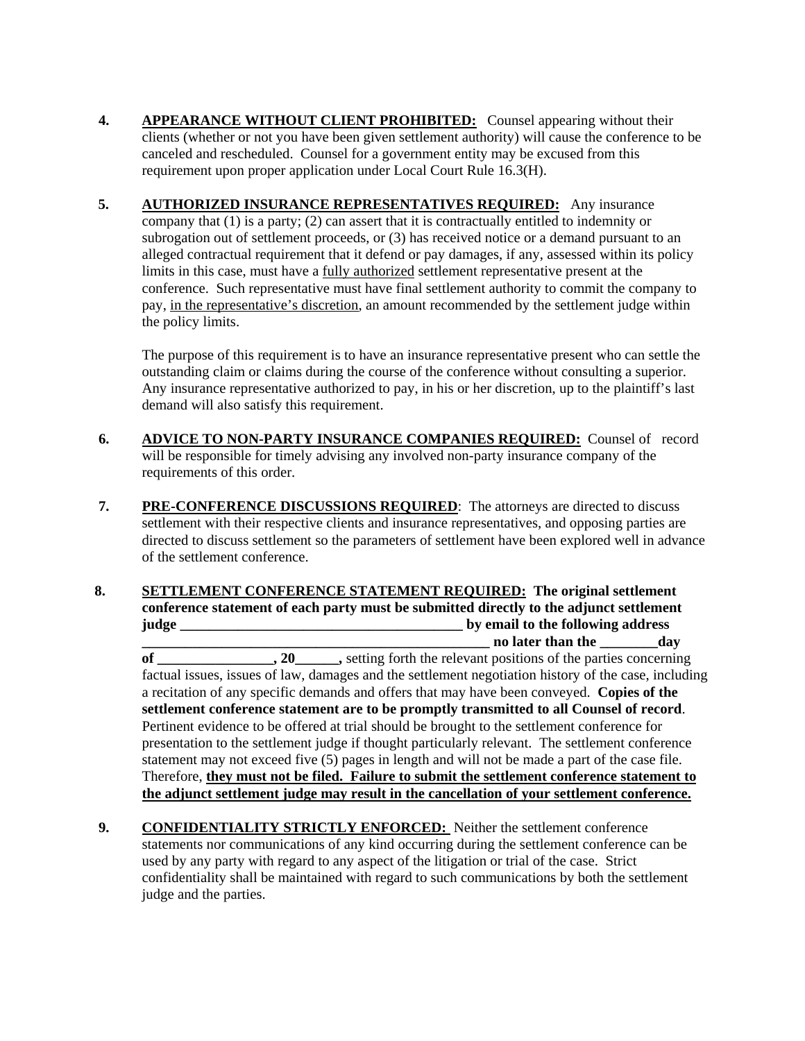- **4. APPEARANCE WITHOUT CLIENT PROHIBITED:** Counsel appearing without their clients (whether or not you have been given settlement authority) will cause the conference to be canceled and rescheduled. Counsel for a government entity may be excused from this requirement upon proper application under Local Court Rule 16.3(H).
- **5. AUTHORIZED INSURANCE REPRESENTATIVES REQUIRED:** Any insurance company that (1) is a party; (2) can assert that it is contractually entitled to indemnity or subrogation out of settlement proceeds, or (3) has received notice or a demand pursuant to an alleged contractual requirement that it defend or pay damages, if any, assessed within its policy limits in this case, must have a fully authorized settlement representative present at the conference. Such representative must have final settlement authority to commit the company to pay, in the representative's discretion, an amount recommended by the settlement judge within the policy limits.

The purpose of this requirement is to have an insurance representative present who can settle the outstanding claim or claims during the course of the conference without consulting a superior. Any insurance representative authorized to pay, in his or her discretion, up to the plaintiff's last demand will also satisfy this requirement.

- **6. ADVICE TO NON-PARTY INSURANCE COMPANIES REQUIRED:** Counsel of record will be responsible for timely advising any involved non-party insurance company of the requirements of this order.
- **7. PRE-CONFERENCE DISCUSSIONS REQUIRED**: The attorneys are directed to discuss settlement with their respective clients and insurance representatives, and opposing parties are directed to discuss settlement so the parameters of settlement have been explored well in advance of the settlement conference.
- **8. SETTLEMENT CONFERENCE STATEMENT REQUIRED: The original settlement conference statement of each party must be submitted directly to the adjunct settlement judge \_\_\_\_\_\_\_\_\_\_\_\_\_\_\_\_\_\_\_\_\_\_\_\_\_\_\_\_\_\_\_\_\_\_\_\_\_\_\_ by email to the following address \_\_\_\_\_\_\_\_\_\_\_\_\_\_\_\_\_\_\_\_\_\_\_\_\_\_\_\_\_\_\_\_\_\_\_\_\_\_\_\_\_\_\_\_\_\_\_\_ no later than the \_\_\_\_\_\_\_\_day of** 20 , setting forth the relevant positions of the parties concerning factual issues, issues of law, damages and the settlement negotiation history of the case, including a recitation of any specific demands and offers that may have been conveyed. **Copies of the settlement conference statement are to be promptly transmitted to all Counsel of record**. Pertinent evidence to be offered at trial should be brought to the settlement conference for presentation to the settlement judge if thought particularly relevant. The settlement conference statement may not exceed five (5) pages in length and will not be made a part of the case file. Therefore, **they must not be filed. Failure to submit the settlement conference statement to the adjunct settlement judge may result in the cancellation of your settlement conference.**
- **9. CONFIDENTIALITY STRICTLY ENFORCED:** Neither the settlement conference statements nor communications of any kind occurring during the settlement conference can be used by any party with regard to any aspect of the litigation or trial of the case. Strict confidentiality shall be maintained with regard to such communications by both the settlement judge and the parties.